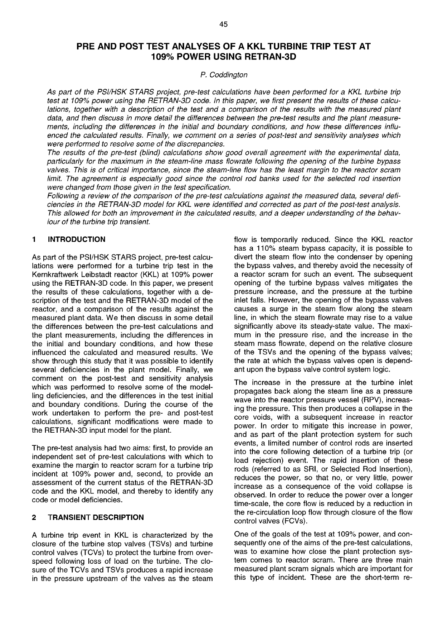# **PRE AND POST TEST ANALYSES OF A KKL TURBINE TRIP TEST AT 109% POWER USING RETRAN-3D**

## P. Coddington

As part of the PSI/HSK STARS project, pre-test calculations have been performed for a KKL turbine trip test at 109% power using the RETRAN-3D code. In this paper, we first present the results of these calculations, together with a description of the test and a comparison of the results with the measured plant data, and then discuss in more detail the differences between the pre-test results and the plant measurements, including the differences in the initial and boundary conditions, and how these differences influenced the calculated results. Finally, we comment on a series of post-test and sensitivity analyses which were performed to resolve some of the discrepancies.

The results of the pre-test (blind) calculations show good overall agreement with the experimental data, particularly for the maximum in the steam-line mass fiowrate following the opening of the turbine bypass valves. This is of critical importance, since the steam-line flow has the least margin to the reactor scram limit. The agreement is especially good since the control rod banks used for the selected rod insertion were changed from those given in the test specification.

Following a review of the comparison of the pre-test calculations against the measured data, several deficiencies in the RETRAN-3D model for KKL were identified and corrected as part of the post-test analysis. This allowed for both an improvement in the calculated results, and a deeper understanding of the behaviour of the turbine trip transient.

# **1 INTRODUCTION**

As part of the PSI/HSK STARS project, pre-test calculations were performed for a turbine trip test in the Kernkraftwerk Leibstadt reactor (KKL) at 109% power using the RETRAN-3D code. In this paper, we present the results of these calculations, together with a description of the test and the RETRAN-3D model of the reactor, and a comparison of the results against the measured plant data. We then discuss in some detail the differences between the pre-test calculations and the plant measurements, including the differences in the initial and boundary conditions, and how these influenced the calculated and measured results. We show through this study that it was possible to identify several deficiencies in the plant model. Finally, we comment on the post-test and sensitivity analysis which was performed to resolve some of the modelling deficiencies, and the differences in the test initial and boundary conditions. During the course of the work undertaken to perform the pre- and post-test calculations, significant modifications were made to the RETRAN-3D input model for the plant.

The pre-test analysis had two aims: first, to provide an independent set of pre-test calculations with which to examine the margin to reactor scram for a turbine trip incident at 109% power and, second, to provide an assessment of the current status of the RETRAN-3D code and the KKL model, and thereby to identify any code or model deficiencies.

## **2 TRANSIENT DESCRIPTION**

A turbine trip event in KKL is characterized by the closure of the turbine stop valves (TSVs) and turbine control valves (TCVs) to protect the turbine from overspeed following loss of load on the turbine. The closure of the TCVs and TSVs produces a rapid increase in the pressure upstream of the valves as the steam

flow is temporarily reduced. Since the KKL reactor has a 110% steam bypass capacity, it is possible to divert the steam flow into the condenser by opening the bypass valves, and thereby avoid the necessity of a reactor scram for such an event. The subsequent opening of the turbine bypass valves mitigates the pressure increase, and the pressure at the turbine inlet falls. However, the opening of the bypass valves causes a surge in the steam flow along the steam line, in which the steam fiowrate may rise to a value significantly above its steady-state value. The maximum in the pressure rise, and the increase in the steam mass fiowrate, depend on the relative closure of the TSVs and the opening of the bypass valves; the rate at which the bypass valves open is dependant upon the bypass valve control system logic.

The increase in the pressure at the turbine inlet propagates back along the steam line as a pressure wave into the reactor pressure vessel (RPV), increasing the pressure. This then produces a collapse in the core voids, with a subsequent increase in reactor power. In order to mitigate this increase in power, and as part of the plant protection system for such events, a limited number of control rods are inserted into the core following detection of a turbine trip (or load rejection) event. The rapid insertion of these rods (referred to as SRI, or Selected Rod Insertion), reduces the power, so that no, or very little, power increase as a consequence of the void collapse is observed. In order to reduce the power over a longer time-scale, the core flow is reduced by a reduction in the re-circulation loop flow through closure of the flow control valves (FCVs).

One of the goals of the test at 109% power, and consequently one of the aims of the pre-test calculations, was to examine how close the plant protection system comes to reactor scram. There are three main measured plant scram signals which are important for this type of incident. These are the short-term re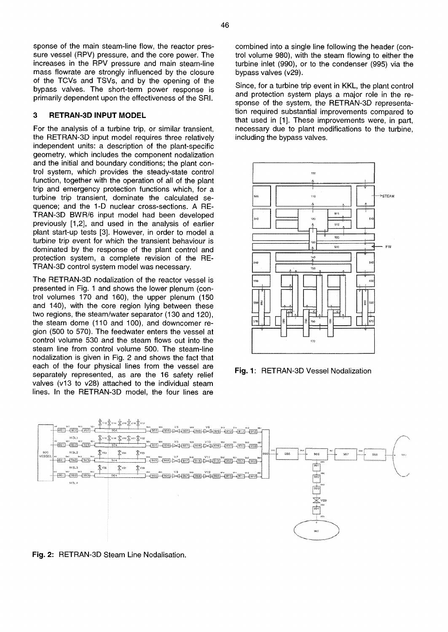sponse of the main steam-line flow, the reactor pressure vessel (RPV) pressure, and the core power. The increases in the RPV pressure and main steam-line mass flowrate are strongly influenced by the closure of the TCVs and TSVs, and by the opening of the bypass valves. The short-term power response is primarily dependent upon the effectiveness of the SRI.

### **3 RETRAN-3D INPUT MODEL**

For the analysis of a turbine trip, or similar transient, the RETRAN-3D input model requires three relatively independent units: a description of the plant-specific geometry, which includes the component nodalization and the initial and boundary conditions; the plant control system, which provides the steady-state control function, together with the operation of all of the plant trip and emergency protection functions which, for a turbine trip transient, dominate the calculated sequence; and the 1-D nuclear cross-sections. A RE-TRAN-3D BWR/6 input model had been developed previously [1,2], and used in the analysis of earlier plant start-up tests [3]. However, in order to model a turbine trip event for which the transient behaviour is dominated by the response of the plant control and protection system, a complete revision of the RE-TRAN-3D control system model was necessary.

The RETRAN-3D nodalization of the reactor vessel is presented in Fig. 1 and shows the lower plenum (control volumes 170 and 160), the upper plenum (150 and 140), with the core region lying between these two regions, the steam/water separator (130 and 120), the steam dome (110 and 100), and downcomer region (500 to 570). The feedwater enters the vessel at control volume 530 and the steam flows out into the steam line from control volume 500. The steam-line nodalization is given in Fig. 2 and shows the fact that each of the four physical lines from the vessel are separately represented, as are the 16 safety relief valves (v13 to v28) attached to the individual steam lines. In the RETRAN-3D model, the four lines are

combined into a single line following the header (control volume 980), with the steam flowing to either the turbine inlet (990), or to the condenser (995) via the bypass valves (v29).

Since, for a turbine trip event in KKL, the plant control and protection system plays a major role in the response of the system, the RETRAN-3D representation required substantial improvements compared to that used in [1]. These improvements were, in part, necessary due to plant modifications to the turbine, including the bypass valves.



**Fig.** 1: RETRAN-3D Vessel Nodalization



**Fig.** 2: RETRAN-3D Steam Line Nodalisation.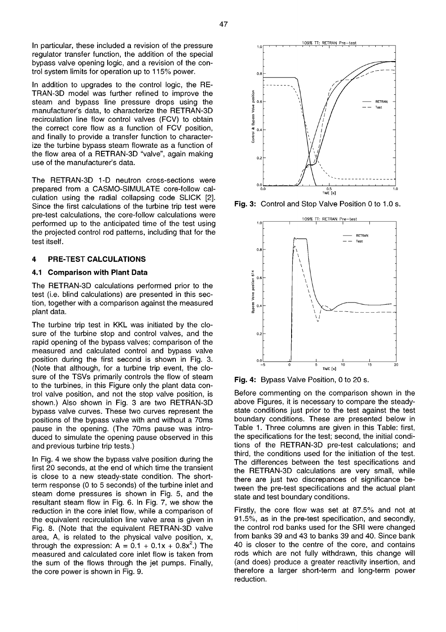In particular, these included a revision of the pressure regulator transfer function, the addition of the special bypass valve opening logic, and a revision of the control system limits for operation up to 115% power.

In addition to upgrades to the control logic, the RE-TRAN-3D model was further refined to improve the steam and bypass line pressure drops using the manufacturer's data, to characterize the RETRAN-3D recirculation line flow control valves (FCV) to obtain the correct core flow as a function of FCV position, and finally to provide a transfer function to characterize the turbine bypass steam flowrate as a function of the flow area of a RETRAN-3D "valve", again making use of the manufacturer's data.

The RETRAN-3D 1-D neutron cross-sections were prepared from a CASMO-SIMULATE core-follow calculation using the radial collapsing code SLICK [2]. Since the first calculations of the turbine trip test were pre-test calculations, the core-follow calculations were performed up to the anticipated time of the test using the projected control rod patterns, including that for the test itself.

### **4 PRE-TEST CALCULATIONS**

### **4.1 Comparison with Plant Data**

The RETRAN-3D calculations performed prior to the test (i.e. blind calculations) are presented in this section, together with a comparison against the measured plant data.

The turbine trip test in KKL was initiated by the closure of the turbine stop and control valves, and the rapid opening of the bypass valves; comparison of the measured and calculated control and bypass valve position during the first second is shown in Fig. 3. (Note that although, for a turbine trip event, the closure of the TSVs primarily controls the flow of steam to the turbines, in this Figure only the plant data control valve position, and not the stop valve position, is shown.) Also shown in Fig. 3 are two RETRAN-3D bypass valve curves. These two curves represent the positions of the bypass valve with and without a 70ms pause in the opening. (The 70ms pause was introduced to simulate the opening pause observed in this and previous turbine trip tests.)

In Fig. 4 we show the bypass valve position during the first 20 seconds, at the end of which time the transient is close to a new steady-state condition. The shortterm response (0 to 5 seconds) of the turbine inlet and steam dome pressures is shown in Fig. 5, and the resultant steam flow in Fig. 6. In Fig. 7, we show the reduction in the core inlet flow, while a comparison of the equivalent recirculation line valve area is given in Fig. 8. (Note that the equivalent RETRAN-3D valve area, A, is related to the physical valve position, x, through the expression:  $A = 0.1 + 0.1x + 0.8x^2$ .) The measured and calculated core inlet flow is taken from the sum of the flows through the jet pumps. Finally, the core power is shown in Fig. 9.



**Fig.** 3: Control and Stop Valve Position 0 to 1.0 s.



**Fig.** 4: Bypass Valve Position, 0 to 20 s.

Before commenting on the comparison shown in the above Figures, it is necessary to compare the steadystate conditions just prior to the test against the test boundary conditions. These are presented below in Table 1. Three columns are given in this Table: first, the specifications for the test; second, the initial conditions of the RETRAN-3D pre-test calculations; and third, the conditions used for the initiation of the test. The differences between the test specifications and the RETRAN-3D calculations are very small, while there are just two discrepances of significance between the pre-test specifications and the actual plant state and test boundary conditions.

Firstly, the core flow was set at 87.5% and not at 91.5%, as in the pre-test specification, and secondly, the control rod banks used for the SRI were changed from banks 39 and 43 to banks 39 and 40. Since bank 40 is closer to the centre of the core, and contains rods which are not fully withdrawn, this change will (and does) produce a greater reactivity insertion, and therefore a larger short-term and long-term power reduction.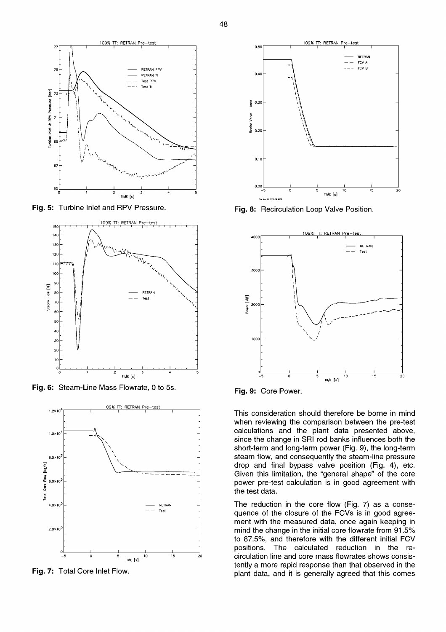

**Fig.** 5: Turbine Inlet and RPV Pressure.



**Fig.** 6: Steam-Line Mass Flowrate, 0 to 5s.



**Fig.** 7: Total Core Inlet Flow.



**Fig.** 8: Recirculation Loop Valve Position.



**Fig.** 9: Core Power.

This consideration should therefore be borne in mind when reviewing the comparison between the pre-test calculations and the plant data presented above, since the change in SRI rod banks influences both the short-term and long-term power (Fig. 9), the long-term steam flow, and consequently the steam-line pressure drop and final bypass valve position (Fig. 4), etc. Given this limitation, the "general shape" of the core power pre-test calculation is in good agreement with the test data.

The reduction in the core flow (Fig. 7) as a consequence of the closure of the FCVs is in good agreement with the measured data, once again keeping in mind the change in the initial core flowrate from 91.5% to 87.5%, and therefore with the different initial FCV positions. The calculated reduction in the recirculation line and core mass flowrates shows consistently a more rapid response than that observed in the plant data, and it is generally agreed that this comes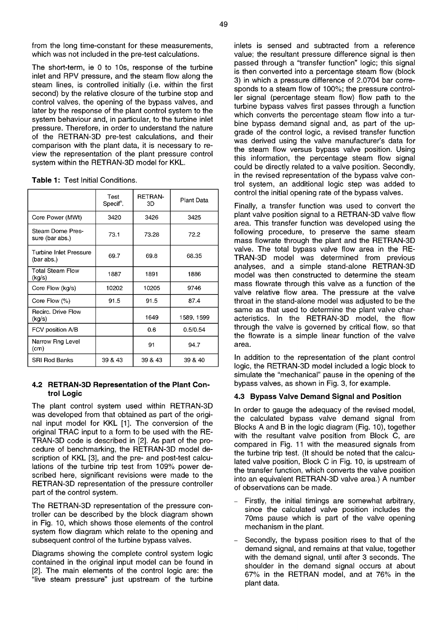from the long time-constant for these measurements, which was not included in the pre-test calculations.

The short-term, ie 0 to 10s, response of the turbine inlet and RPV pressure, and the steam flow along the steam lines, is controlled initially (i.e. within the first second) by the relative closure of the turbine stop and control valves, the opening of the bypass valves, and later by the response of the plant control system to the system behaviour and, in particular, to the turbine inlet pressure. Therefore, in order to understand the nature of the RETRAN-3D pre-test calculations, and their comparison with the plant data, it is necessary to review the representation of the plant pressure control system within the RETRAN-3D model for KKL.

| Table 1: Test Initial Conditions. |
|-----------------------------------|
|-----------------------------------|

|                                      | Test<br>Specif <sup>n</sup> . | <b>RETRAN-</b><br>ЗD | Plant Data |
|--------------------------------------|-------------------------------|----------------------|------------|
| Core Power (MWt)                     | 3420                          | 3426                 | 3425       |
| Steam Dome Pres-<br>sure (bar abs.)  | 73.1                          | 73.28                | 72.2       |
| Turbine Inlet Pressure<br>(bar abs.) | 69.7                          | 69.8                 | 68.35      |
| Total Steam Flow<br>(kg/s)           | 1887                          | 1891                 | 1886       |
| Core Flow (kg/s)                     | 10202                         | 10205                | 9746       |
| Core Flow $(\%)$                     | 91.5                          | 91.5                 | 87.4       |
| Recirc. Drive Flow<br>(kg/s)         |                               | 1649                 | 1589, 1599 |
| FCV position A/B                     |                               | 0.6                  | 0.5/0.54   |
| Narrow Rng Level<br>(cm)             |                               | 91                   | 94.7       |
| <b>SRI Rod Banks</b>                 | 39 & 43                       | 39 & 43              | 39 & 40    |

### **4.2 RETRAN-3D Representation of the Plant Control Logic**

The plant control system used within RETRAN-3D was developed from that obtained as part of the original input model for KKL [1]. The conversion of the original TRAC input to a form to be used with the RE-TRAN-3D code is described in [2]. As part of the procedure of benchmarking, the RETRAN-3D model description of KKL [3], and the pre- and post-test calculations of the turbine trip test from 109% power described here, significant revisions were made to the RETRAN-3D representation of the pressure controller part of the control system.

The RETRAN-3D representation of the pressure controller can be described by the block diagram shown in Fig. 10, which shows those elements of the control system flow diagram which relate to the opening and subsequent control of the turbine bypass valves.

Diagrams showing the complete control system logic contained in the original input model can be found in [2]. The main elements of the control logic are: the "live steam pressure" just upstream of the turbine

inlets is sensed and subtracted from a reference value; the resultant pressure difference signal is then passed through a "transfer function" logic; this signal is then converted into a percentage steam flow (block 3) in which a pressure difference of 2.0704 bar corresponds to a steam flow of 100%; the pressure controller signal (percentage steam flow) flow path to the turbine bypass valves first passes through a function which converts the percentage steam flow into a turbine bypass demand signal and, as part of the upgrade of the control logic, a revised transfer function was derived using the valve manufacturer's data for the steam flow versus bypass valve position. Using this information, the percentage steam flow signal could be directly related to a valve position. Secondly, in the revised representation of the bypass valve control system, an additional logic step was added to control the initial opening rate of the bypass valves.

Finally, a transfer function was used to convert the plant valve position signal to a RETRAN-3D valve flow area. This transfer function was developed using the following procedure, to preserve the same steam mass flowrate through the plant and the RETRAN-3D valve. The total bypass valve flow area in the RE-TRAN-3D model was determined from previous analyses, and a simple stand-alone RETRAN-3D model was then constructed to determine the steam mass flowrate through this valve as a function of the valve relative flow area. The pressure at the valve throat in the stand-alone model was adjusted to be the same as that used to determine the plant valve characteristics. In the RETRAN-3D model, the flow through the valve is governed by critical flow, so that the flowrate is a simple linear function of the valve area.

In addition to the representation of the plant control logic, the RETRAN-3D model included a logic block to simulate the "mechanical" pause in the opening of the bypass valves, as shown in Fig. 3, for example.

### **4.3 Bypass Valve Demand Signal and Position**

In order to gauge the adequacy of the revised model, the calculated bypass valve demand signal from Blocks A and B in the logic diagram (Fig. 10), together with the resultant valve position from Block C, are compared in Fig. 11 with the measured signals from the turbine trip test. (It should be noted that the calculated valve position, Block C in Fig. 10, is upstream of the transfer function, which converts the valve position into an equivalent RETRAN-3D valve area.) A number of observations can be made.

- Firstly, the initial timings are somewhat arbitrary, since the calculated valve position includes the 70ms pause which is part of the valve opening mechanism in the plant.
- Secondly, the bypass position rises to that of the demand signal, and remains at that value, together with the demand signal, until after 3 seconds. The shoulder in the demand signal occurs at about 67% in the RETRAN model, and at 76% in the plant data.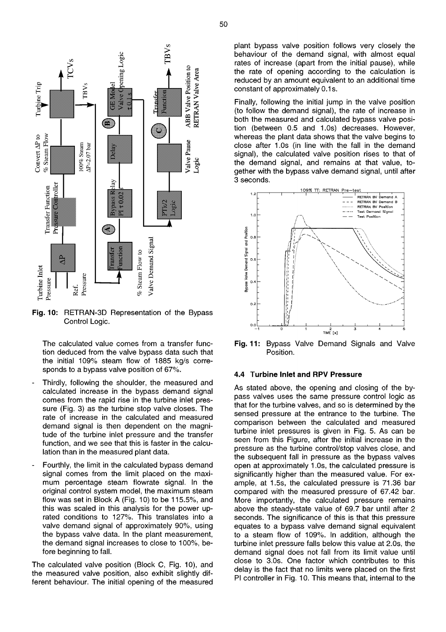

**Fig.** 10: RETRAN-3D Representation of the Bypass Control Logic.

The calculated value comes from a transfer function deduced from the valve bypass data such that the initial 109% steam flow of 1885 kg/s corresponds to a bypass valve position of 67%.

- Thirdly, following the shoulder, the measured and calculated increase in the bypass demand signal comes from the rapid rise in the turbine inlet pressure (Fig. 3) as the turbine stop valve closes. The rate of increase in the calculated and measured demand signal is then dependent on the magnitude of the turbine inlet pressure and the transfer function, and we see that this is faster in the calculation than in the measured plant data.
- Fourthly, the limit in the calculated bypass demand signal comes from the limit placed on the maximum percentage steam flowrate signal. In the original control system model, the maximum steam flow was set in Block A (Fig. 10) to be 115.5%, and this was scaled in this analysis for the power uprated conditions to 127%. This translates into a valve demand signal of approximately 90%, using the bypass valve data. In the plant measurement, the demand signal increases to close to 100%, before beginning to fall.

The calculated valve position (Block C, Fig. 10), and the measured valve position, also exhibit slightly different behaviour. The initial opening of the measured

plant bypass valve position follows very closely the behaviour of the demand signal, with almost equal rates of increase (apart from the initial pause), while the rate of opening according to the calculation is reduced by an amount equivalent to an additional time constant of approximately 0.1s.

Finally, following the initial jump in the valve position (to follow the demand signal), the rate of increase in both the measured and calculated bypass valve position (between 0.5 and 1.0s) decreases. However, whereas the plant data shows that the valve begins to close after 1.0s (in line with the fall in the demand signal), the calculated valve position rises to that of the demand signal, and remains at that value, together with the bypass valve demand signal, until after 3 seconds.



**Fig.** 11: Bypass Valve Demand Signals and Valve Position.

#### **4.4 Turbine Inlet and RPV Pressure**

As stated above, the opening and closing of the bypass valves uses the same pressure control logic as that for the turbine valves, and so is determined by the sensed pressure at the entrance to the turbine. The comparison between the calculated and measured turbine inlet pressures is given in Fig. 5. As can be seen from this Figure, after the initial increase in the pressure as the turbine control/stop valves close, and the subsequent fall in pressure as the bypass valves open at approximately 1.0s, the calculated pressure is significantly higher than the measured value. For example, at 1.5s, the calculated pressure is 71.36 bar compared with the measured pressure of 67.42 bar. More importantly, the calculated pressure remains above the steady-state value of 69.7 bar until after 2 seconds. The significance of this is that this pressure equates to a bypass valve demand signal equivalent to a steam flow of 109%. In addition, although the turbine inlet pressure falls below this value at 2.0s, the demand signal does not fall from its limit value until close to 3.0s. One factor which contributes to this delay is the fact that no limits were placed on the first PI controller in Fig. 10. This means that, internal to the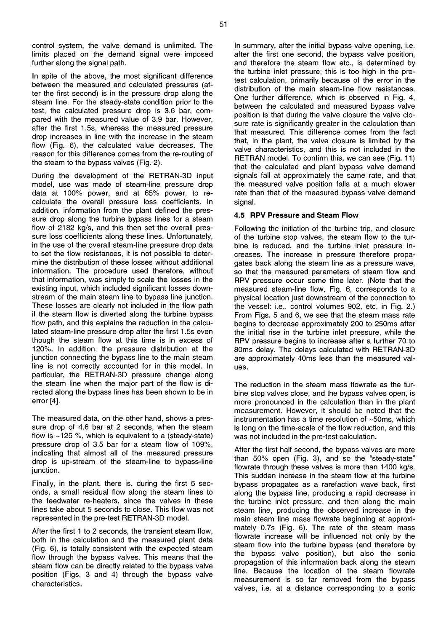control system, the valve demand is unlimited. The limits placed on the demand signal were imposed further along the signal path.

In spite of the above, the most significant difference between the measured and calculated pressures (after the first second) is in the pressure drop along the steam line. For the steady-state condition prior to the test, the calculated pressure drop is 3.6 bar, compared with the measured value of 3.9 bar. However, after the first 1.5s, whereas the measured pressure drop increases in line with the increase in the steam flow (Fig. 6), the calculated value decreases. The reason for this difference comes from the re-routing of the steam to the bypass valves (Fig. 2).

During the development of the RETRAN-3D input model, use was made of steam-line pressure drop data at 100% power, and at 65% power, to recalculate the overall pressure loss coefficients. In addition, information from the plant defined the pressure drop along the turbine bypass lines for a steam flow of 2182 kg/s, and this then set the overall pressure loss coefficients along these lines. Unfortunately, in the use of the overall steam-line pressure drop data to set the flow resistances, it is not possible to determine the distribution of these losses without additional information. The procedure used therefore, without that information, was simply to scale the losses in the existing input, which included significant losses downstream of the main steam line to bypass line junction. These losses are clearly not included in the flow path if the steam flow is diverted along the turbine bypass flow path, and this explains the reduction in the calculated steam-line pressure drop after the first 1.5s even though the steam flow at this time is in excess of 120%. In addition, the pressure distribution at the junction connecting the bypass line to the main steam line is not correctly accounted for in this model. In particular, the RETRAN-3D pressure change along the steam line when the major part of the flow is directed along the bypass lines has been shown to be in error [4].

The measured data, on the other hand, shows a pressure drop of 4.6 bar at 2 seconds, when the steam flow is  $~125$  %, which is equivalent to a (steady-state) pressure drop of 3.5 bar for a steam flow of 109%, indicating that almost all of the measured pressure drop is up-stream of the steam-line to bypass-line junction.

Finally, in the plant, there is, during the first 5 seconds, a small residual flow along the steam lines to the feedwater re-heaters, since the valves in these lines take about 5 seconds to close. This flow was not represented in the pre-test RETRAN-3D model.

After the first 1 to 2 seconds, the transient steam flow, both in the calculation and the measured plant data (Fig. 6), is totally consistent with the expected steam flow through the bypass valves. This means that the steam flow can be directly related to the bypass valve position (Figs. 3 and 4) through the bypass valve characteristics.

In summary, after the initial bypass valve opening, i.e. after the first one second, the bypass valve position, and therefore the steam flow etc., is determined by the turbine inlet pressure; this is too high in the pretest calculation, primarily because of the error in the distribution of the main steam-line flow resistances. One further difference, which is observed in Fig. 4, between the calculated and measured bypass valve position is that during the valve closure the valve closure rate is significantly greater in the calculation than that measured. This difference comes from the fact that, in the plant, the valve closure is limited by the valve characteristics, and this is not included in the RETRAN model. To confirm this, we can see (Fig. 11) that the calculated and plant bypass valve demand signals fall at approximately the same rate, and that the measured valve position falls at a much slower rate than that of the measured bypass valve demand signal.

# **4.5 RPV Pressure and Steam Flow**

Following the initiation of the turbine trip, and closure of the turbine stop valves, the steam flow to the turbine is reduced, and the turbine inlet pressure increases. The increase in pressure therefore propagates back along the steam line as a pressure wave, so that the measured parameters of steam flow and RPV pressure occur some time later. (Note that the measured steam-line flow, Fig. 6, corresponds to a physical location just downstream of the connection to the vessel: i.e., control volumes 902, etc. in Fig. 2.) From Figs. 5 and 6, we see that the steam mass rate begins to decrease approximately 200 to 250ms after the initial rise in the turbine inlet pressure, while the RPV pressure begins to increase after a further 70 to 80ms delay. The delays calculated with RETRAN-3D are approximately 40ms less than the measured values.

The reduction in the steam mass flowrate as the turbine stop valves close, and the bypass valves open, is more pronounced in the calculation than in the plant measurement. However, it should be noted that the instrumentation has a time resolution of ~50ms, which is long on the time-scale of the flow reduction, and this was not included in the pre-test calculation.

After the first half second, the bypass valves are more than 50% open (Fig. 3), and so the "steady-state" flowrate through these valves is more than 1400 kg/s. This sudden increase in the steam flow at the turbine bypass propagates as a rarefaction wave back, first along the bypass line, producing a rapid decrease in the turbine inlet pressure, and then along the main steam line, producing the observed increase in the main steam line mass flowrate beginning at approximately 0.7s (Fig. 6). The rate of the steam mass flowrate increase will be influenced not only by the steam flow into the turbine bypass (and therefore by the bypass valve position), but also the sonic propagation of this information back along the steam line. Because the location of the steam flowrate measurement is so far removed from the bypass valves, i.e. at a distance corresponding to a sonic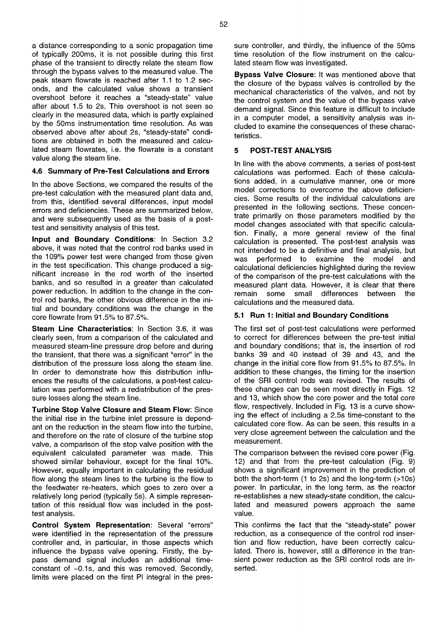a distance corresponding to a sonic propagation time of typically 200ms, it is not possible during this first phase of the transient to directly relate the steam flow through the bypass valves to the measured value. The peak steam flowrate is reached after 1.1 to 1.2 seconds, and the calculated value shows a transient overshoot before it reaches a "steady-state" value after about 1.5 to 2s. This overshoot is not seen so clearly in the measured data, which is partly explained by the 50ms instrumentation time resolution. As was observed above after about 2s, "steady-state" conditions are obtained in both the measured and calculated steam flowrates, i.e. the flowrate is a constant value along the steam line.

### **4.6 Summary of Pre-Test Calculations and Errors**

In the above Sections, we compared the results of the pre-test calculation with the measured plant data and, from this, identified several differences, input model errors and deficiencies. These are summarized below, and were subsequently used as the basis of a posttest and sensitivity analysis of this test.

**Input and Boundary Conditions:** In Section 3.2 above, it was noted that the control rod banks used in the 109% power test were changed from those given in the test specification. This change produced a significant increase in the rod worth of the inserted banks, and so resulted in a greater than calculated power reduction. In addition to the change in the control rod banks, the other obvious difference in the initial and boundary conditions was the change in the core flowrate from 91.5% to 87.5%.

**Steam Line Characteristics:** In Section 3.6, it was clearly seen, from a comparison of the calculated and measured steam-line pressure drop before and during the transient, that there was a significant "error" in the distribution of the pressure loss along the steam line. In order to demonstrate how this distribution influences the results of the calculations, a post-test calculation was performed with a redistribution of the pressure losses along the steam line.

**Turbine Stop Valve Closure and Steam Flow:** Since the initial rise in the turbine inlet pressure is dependant on the reduction in the steam flow into the turbine, and therefore on the rate of closure of the turbine stop valve, a comparison of the stop valve position with the equivalent calculated parameter was made. This showed similar behaviour, except for the final 10%. However, equally important in calculating the residual flow along the steam lines to the turbine is the flow to the feedwater re-heaters, which goes to zero over a relatively long period (typically 5s). A simple representation of this residual flow was included in the posttest analysis.

**Control System Representation:** Several "errors" were identified in the representation of the pressure controller and, in particular, in those aspects which influence the bypass valve opening. Firstly, the bypass demand signal includes an additional timeconstant of ~0.1s, and this was removed. Secondly, limits were placed on the first PI integral in the pres-

sure controller, and thirdly, the influence of the 50ms time resolution of the flow instrument on the calculated steam flow was investigated.

**Bypass Valve Closure:** It was mentioned above that the closure of the bypass valves is controlled by the mechanical characteristics of the valves, and not by the control system and the value of the bypass valve demand signal. Since this feature is difficult to include in a computer model, a sensitivity analysis was included to examine the consequences of these characteristics.

## **5 POST-TEST ANALYSIS**

In line with the above comments, a series of post-test calculations was performed. Each of these calculations added, in a cumulative manner, one or more model corrections to overcome the above deficiencies. Some results of the individual calculations are presented in the following sections. These concentrate primarily on those parameters modified by the model changes associated with that specific calculation. Finally, a more general review of the final calculation is presented. The post-test analysis was not intended to be a definitive and final analysis, but was performed to examine the model and calculational deficiencies highlighted during the review of the comparison of the pre-test calculations with the measured plant data. However, it is clear that there remain some small differences between the calculations and the measured data.

## **5.1 Run 1: Initial and Boundary Conditions**

The first set of post-test calculations were performed to correct for differences between the pre-test initial and boundary conditions; that is, the insertion of rod banks 39 and 40 instead of 39 and 43, and the change in the initial core flow from 91.5% to 87.5%. In addition to these changes, the timing for the insertion of the SRI control rods was revised. The results of these changes can be seen most directly in Figs. 12 and 13, which show the core power and the total core flow, respectively. Included in Fig. 13 is a curve showing the effect of including a 2.5s time-constant to the calculated core flow. As can be seen, this results in a very close agreement between the calculation and the measurement.

The comparison between the revised core power (Fig. 12) and that from the pre-test calculation (Fig. 9) shows a significant improvement in the prediction of both the short-term (1 to 2s) and the long-term (>10s) power. In particular, in the long term, as the reactor re-establishes a new steady-state condition, the calculated and measured powers approach the same value.

This confirms the fact that the "steady-state" power reduction, as a consequence of the control rod insertion and flow reduction, have been correctly calculated. There is, however, still a difference in the transient power reduction as the SRI control rods are inserted.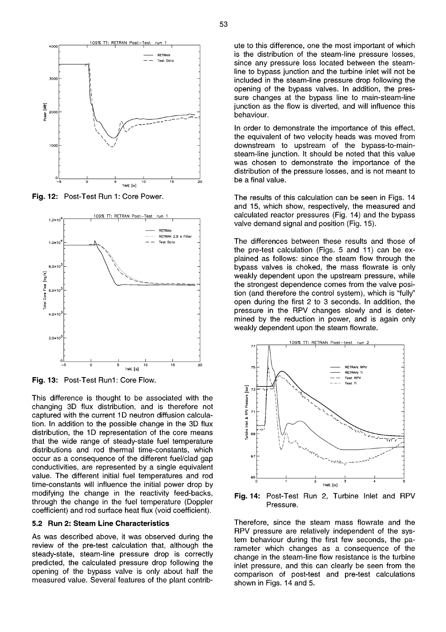

**Fig.** 12: Post-Test Run 1: Core Power.



**Fig.** 13: Post-Test Run1: Core Flow.

This difference is thought to be associated with the changing 3D flux distribution, and is therefore not captured with the current 1D neutron diffusion calculation. In addition to the possible change in the 3D flux distribution, the 1D representation of the core means that the wide range of steady-state fuel temperature distributions and rod thermal time-constants, which occur as a consequence of the different fuel/clad gap conductivities, are represented by a single equivalent value. The different initial fuel temperatures and rod time-constants will influence the initial power drop by modifying the change in the reactivity feed-backs, through the change in the fuel temperature (Doppler coefficient) and rod surface heat flux (void coefficient).

## **5.2 Run 2: Steam Line Characteristics**

As was described above, it was observed during the review of the pre-test calculation that, although the steady-state, steam-line pressure drop is correctly predicted, the calculated pressure drop following the opening of the bypass valve is only about half the measured value. Several features of the plant contrib-

ute to this difference, one the most important of which is the distribution of the steam-line pressure losses, since any pressure loss located between the steamline to bypass junction and the turbine inlet will not be included in the steam-line pressure drop following the opening of the bypass valves. In addition, the pressure changes at the bypass line to main-steam-line junction as the flow is diverted, and will influence this behaviour.

In order to demonstrate the importance of this effect, the equivalent of two velocity heads was moved from downstream to upstream of the bypass-to-mainsteam-line junction. It should be noted that this value was chosen to demonstrate the importance of the distribution of the pressure losses, and is not meant to be a final value.

The results of this calculation can be seen in Figs. 14 and 15, which show, respectively, the measured and calculated reactor pressures (Fig. 14) and the bypass valve demand signal and position (Fig. 15).

The differences between these results and those of the pre-test calculation (Figs. 5 and 11) can be explained as follows: since the steam flow through the bypass valves is choked, the mass flowrate is only weakly dependent upon the upstream pressure, while the strongest dependence comes from the valve position (and therefore the control system), which is "fully" open during the first 2 to 3 seconds. In addition, the pressure in the RPV changes slowly and is determined by the reduction in power, and is again only weakly dependent upon the steam flowrate.



**Fig.** 14: Post-Test Run 2, Turbine Inlet and RPV Pressure.

Therefore, since the steam mass flowrate and the RPV pressure are relatively independent of the system behaviour during the first few seconds, the parameter which changes as a consequence of the change in the steam-line flow resistance is the turbine inlet pressure, and this can clearly be seen from the comparison of post-test and pre-test calculations shown in Figs. 14 and 5.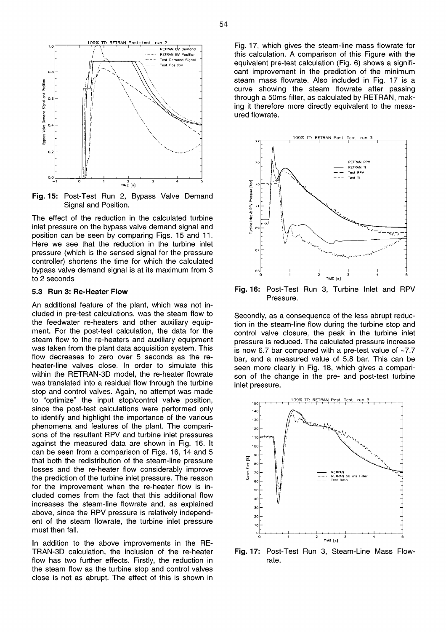

**Fig.** 15: Post-Test Run 2, Bypass Valve Demand Signal and Position.

The effect of the reduction in the calculated turbine inlet pressure on the bypass valve demand signal and position can be seen by comparing Figs. 15 and 11. Here we see that the reduction in the turbine inlet pressure (which is the sensed signal for the pressure controller) shortens the time for which the calculated bypass valve demand signal is at its maximum from 3 to 2 seconds

#### **5.3 Run 3: Re-Heater Flow**

An additional feature of the plant, which was not included in pre-test calculations, was the steam flow to the feedwater re-heaters and other auxiliary equipment. For the post-test calculation, the data for the steam flow to the re-heaters and auxiliary equipment was taken from the plant data acquisition system. This flow decreases to zero over 5 seconds as the reheater-line valves close. In order to simulate this within the RETRAN-3D model, the re-heater flowrate was translated into a residual flow through the turbine stop and control valves. Again, no attempt was made to "optimize" the input stop/control valve position, since the post-test calculations were performed only to identify and highlight the importance of the various phenomena and features of the plant. The comparisons of the resultant RPV and turbine inlet pressures against the measured data are shown in Fig. 16. It can be seen from a comparison of Figs. 16, 14 and 5 that both the redistribution of the steam-line pressure losses and the re-heater flow considerably improve the prediction of the turbine inlet pressure. The reason for the improvement when the re-heater flow is included comes from the fact that this additional flow increases the steam-line flowrate and, as explained above, since the RPV pressure is relatively independent of the steam flowrate, the turbine inlet pressure must then fall.

In addition to the above improvements in the RE-TRAN-3D calculation, the inclusion of the re-heater flow has two further effects. Firstly, the reduction in the steam flow as the turbine stop and control valves close is not as abrupt. The effect of this is shown in

Fig. 17, which gives the steam-line mass flowrate for this calculation. A comparison of this Figure with the equivalent pre-test calculation (Fig. 6) shows a significant improvement in the prediction of the minimum steam mass flowrate. Also included in Fig. 17 is a curve showing the steam flowrate after passing through a 50ms filter, as calculated by RETRAN, making it therefore more directly equivalent to the measured flowrate.



**Fig.** 16: Post-Test Run 3, Turbine Inlet and RPV Pressure.

Secondly, as a consequence of the less abrupt reduction in the steam-line flow during the turbine stop and control valve closure, the peak in the turbine inlet pressure is reduced. The calculated pressure increase is now 6.7 bar compared with a pre-test value of  $\sim$ 7.7 bar, and a measured value of 5.8 bar. This can be seen more clearly in Fig. 18, which gives a comparison of the change in the pre- and post-test turbine inlet pressure.



**Fig.** 17: Post-Test Run 3, Steam-Line Mass Flowrate.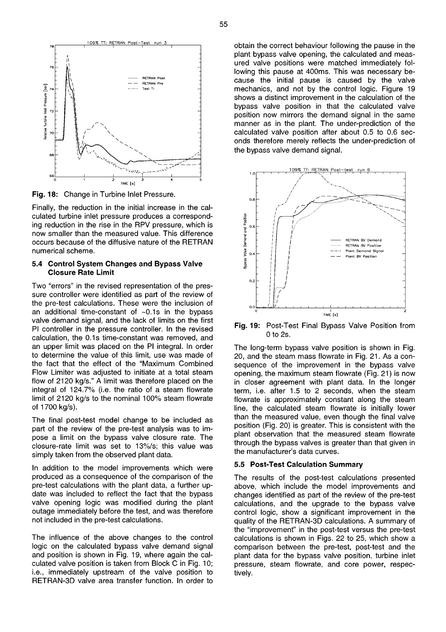

**Fig.** 18: Change in Turbine Inlet Pressure.

Finally, the reduction in the initial increase in the calculated turbine inlet pressure produces a corresponding reduction in the rise in the RPV pressure, which is now smaller than the measured value. This difference occurs because of the diffusive nature of the RETRAN numerical scheme.

### **5.4 Control System Changes and Bypass Valve Closure Rate Limit**

Two "errors" in the revised representation of the pressure controller were identified as part of the review of the pre-test calculations. These were the inclusion of an additional time-constant of  $~10.1$ s in the bypass valve demand signal, and the lack of limits on the first PI controller in the pressure controller. In the revised calculation, the 0.1s time-constant was removed, and an upper limit was placed on the PI integral. In order to determine the value of this limit, use was made of the fact that the effect of the "Maximum Combined Flow Limiter was adjusted to initiate at a total steam flow of 2120 kg/s." A limit was therefore placed on the integral of 124.7% (i.e. the ratio of a steam flowrate limit of 2120 kg/s to the nominal 100% steam flowrate of 1700 kg/s).

The final post-test model change to be included as part of the review of the pre-test analysis was to impose a limit on the bypass valve closure rate. The closure-rate limit was set to 13%/s; this value was simply taken from the observed plant data.

In addition to the model improvements which were produced as a consequence of the comparison of the pre-test calculations with the plant data, a further update was included to reflect the fact that the bypass valve opening logic was modified during the plant outage immediately before the test, and was therefore not included in the pre-test calculations.

The influence of the above changes to the control logic on the calculated bypass valve demand signal and position is shown in Fig. 19, where again the calculated valve position is taken from Block C in Fig. 10; i.e., immediately upstream of the valve position to RETRAN-3D valve area transfer function. In order to

obtain the correct behaviour following the pause in the plant bypass valve opening, the calculated and measured valve positions were matched immediately following this pause at 400ms. This was necessary because the initial pause is caused by the valve mechanics, and not by the control logic. Figure 19 shows a distinct improvement in the calculation of the bypass valve position in that the calculated valve position now mirrors the demand signal in the same manner as in the plant. The under-prediction of the calculated valve position after about 0.5 to 0.6 seconds therefore merely reflects the under-prediction of the bypass valve demand signal.



**Fig.** 19: Post-Test Final Bypass Valve Position from 0 to 2s.

The long-term bypass valve position is shown in Fig. 20, and the steam mass flowrate in Fig. 21. As a consequence of the improvement in the bypass valve opening, the maximum steam flowrate (Fig. 21) is now in closer agreement with plant data. In the longer term, i.e. after 1.5 to 2 seconds, when the steam flowrate is approximately constant along the steam line, the calculated steam flowrate is initially lower than the measured value, even though the final valve position (Fig. 20) is greater. This is consistent with the plant observation that the measured steam flowrate through the bypass valves is greater than that given in the manufacturer's data curves.

## **5.5 Post-Test Calculation Summary**

The results of the post-test calculations presented above, which include the model improvements and changes identified as part of the review of the pre-test calculations, and the upgrade to the bypass valve control logic, show a significant improvement in the quality of the RETRAN-3D calculations. A summary of the "improvement" in the post-test versus the pre-test calculations is shown in Figs. 22 to 25, which show a comparison between the pre-test, post-test and the plant data for the bypass valve position, turbine inlet pressure, steam flowrate, and core power, respectively.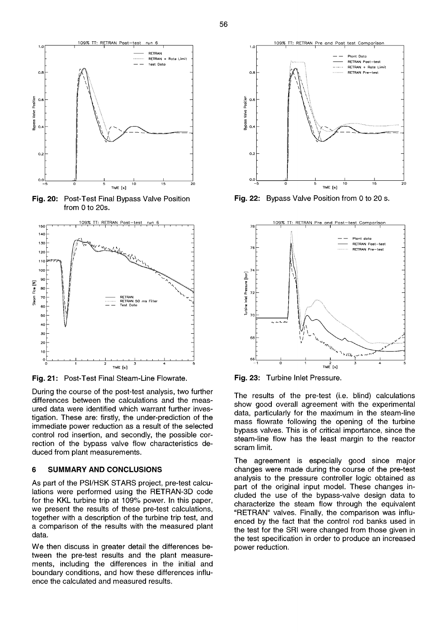

**Fig.** 20: Post-Test Final Bypass Valve Position from 0 to 20s.



**Fig.** 21: Post-Test Final Steam-Line Flowrate.

During the course of the post-test analysis, two further differences between the calculations and the measured data were identified which warrant further investigation. These are: firstly, the under-prediction of the immediate power reduction as a result of the selected control rod insertion, and secondly, the possible correction of the bypass valve flow characteristics deduced from plant measurements.

### **6 SUMMARY AND CONCLUSIONS**

As part of the PSI/HSK STARS project, pre-test calculations were performed using the RETRAN-3D code for the KKL turbine trip at 109% power. In this paper, we present the results of these pre-test calculations, together with a description of the turbine trip test, and a comparison of the results with the measured plant data.

We then discuss in greater detail the differences between the pre-test results and the plant measurements, including the differences in the initial and boundary conditions, and how these differences influence the calculated and measured results.



**Fig.** 22: Bypass Valve Position from 0 to 20 s.



**Fig.** 23: Turbine Inlet Pressure.

The results of the pre-test (i.e. blind) calculations show good overall agreement with the experimental data, particularly for the maximum in the steam-line mass flowrate following the opening of the turbine bypass valves. This is of critical importance, since the steam-line flow has the least margin to the reactor scram limit.

The agreement is especially good since major changes were made during the course of the pre-test analysis to the pressure controller logic obtained as part of the original input model. These changes included the use of the bypass-valve design data to characterize the steam flow through the equivalent "RETRAN" valves. Finally, the comparison was influenced by the fact that the control rod banks used in the test for the SRI were changed from those given in the test specification in order to produce an increased power reduction.